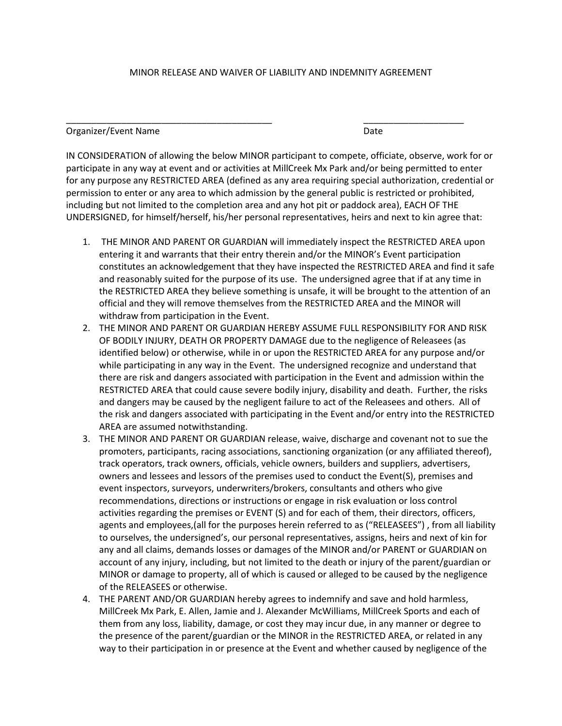## MINOR RELEASE AND WAIVER OF LIABILITY AND INDEMNITY AGREEMENT

\_\_\_\_\_\_\_\_\_\_\_\_\_\_\_\_\_\_\_\_\_\_\_\_\_\_\_\_\_\_\_\_\_\_\_\_\_\_\_\_\_ \_\_\_\_\_\_\_\_\_\_\_\_\_\_\_\_\_\_\_\_

Organizer/Event Name **Date** Date Date

IN CONSIDERATION of allowing the below MINOR participant to compete, officiate, observe, work for or participate in any way at event and or activities at MillCreek Mx Park and/or being permitted to enter for any purpose any RESTRICTED AREA (defined as any area requiring special authorization, credential or permission to enter or any area to which admission by the general public is restricted or prohibited, including but not limited to the completion area and any hot pit or paddock area), EACH OF THE UNDERSIGNED, for himself/herself, his/her personal representatives, heirs and next to kin agree that:

- 1. THE MINOR AND PARENT OR GUARDIAN will immediately inspect the RESTRICTED AREA upon entering it and warrants that their entry therein and/or the MINOR's Event participation constitutes an acknowledgement that they have inspected the RESTRICTED AREA and find it safe and reasonably suited for the purpose of its use. The undersigned agree that if at any time in the RESTRICTED AREA they believe something is unsafe, it will be brought to the attention of an official and they will remove themselves from the RESTRICTED AREA and the MINOR will withdraw from participation in the Event.
- 2. THE MINOR AND PARENT OR GUARDIAN HEREBY ASSUME FULL RESPONSIBILITY FOR AND RISK OF BODILY INJURY, DEATH OR PROPERTY DAMAGE due to the negligence of Releasees (as identified below) or otherwise, while in or upon the RESTRICTED AREA for any purpose and/or while participating in any way in the Event. The undersigned recognize and understand that there are risk and dangers associated with participation in the Event and admission within the RESTRICTED AREA that could cause severe bodily injury, disability and death. Further, the risks and dangers may be caused by the negligent failure to act of the Releasees and others. All of the risk and dangers associated with participating in the Event and/or entry into the RESTRICTED AREA are assumed notwithstanding.
- 3. THE MINOR AND PARENT OR GUARDIAN release, waive, discharge and covenant not to sue the promoters, participants, racing associations, sanctioning organization (or any affiliated thereof), track operators, track owners, officials, vehicle owners, builders and suppliers, advertisers, owners and lessees and lessors of the premises used to conduct the Event(S), premises and event inspectors, surveyors, underwriters/brokers, consultants and others who give recommendations, directions or instructions or engage in risk evaluation or loss control activities regarding the premises or EVENT (S) and for each of them, their directors, officers, agents and employees,(all for the purposes herein referred to as ("RELEASEES") , from all liability to ourselves, the undersigned's, our personal representatives, assigns, heirs and next of kin for any and all claims, demands losses or damages of the MINOR and/or PARENT or GUARDIAN on account of any injury, including, but not limited to the death or injury of the parent/guardian or MINOR or damage to property, all of which is caused or alleged to be caused by the negligence of the RELEASEES or otherwise.
- 4. THE PARENT AND/OR GUARDIAN hereby agrees to indemnify and save and hold harmless, MillCreek Mx Park, E. Allen, Jamie and J. Alexander McWilliams, MillCreek Sports and each of them from any loss, liability, damage, or cost they may incur due, in any manner or degree to the presence of the parent/guardian or the MINOR in the RESTRICTED AREA, or related in any way to their participation in or presence at the Event and whether caused by negligence of the